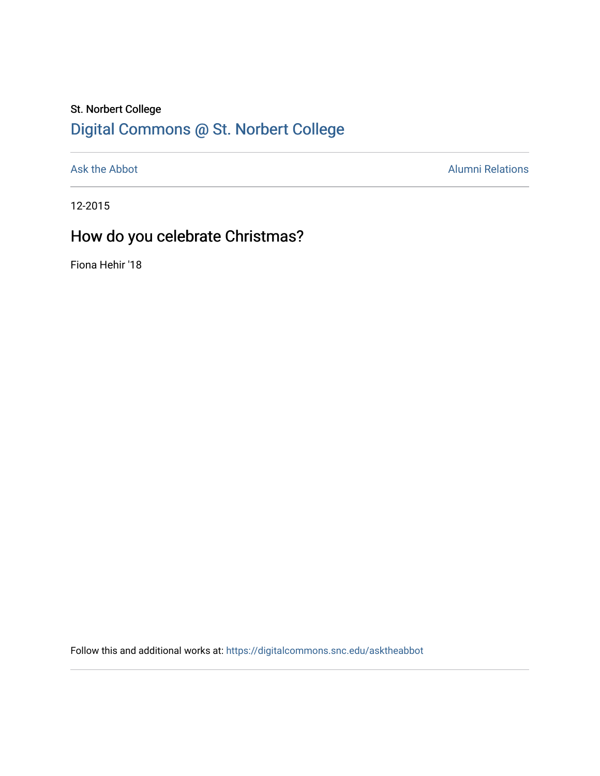## St. Norbert College [Digital Commons @ St. Norbert College](https://digitalcommons.snc.edu/)

[Ask the Abbot](https://digitalcommons.snc.edu/asktheabbot) **Alumni Relations** Alumni Relations

12-2015

# How do you celebrate Christmas?

Fiona Hehir '18

Follow this and additional works at: [https://digitalcommons.snc.edu/asktheabbot](https://digitalcommons.snc.edu/asktheabbot?utm_source=digitalcommons.snc.edu%2Fasktheabbot%2F94&utm_medium=PDF&utm_campaign=PDFCoverPages)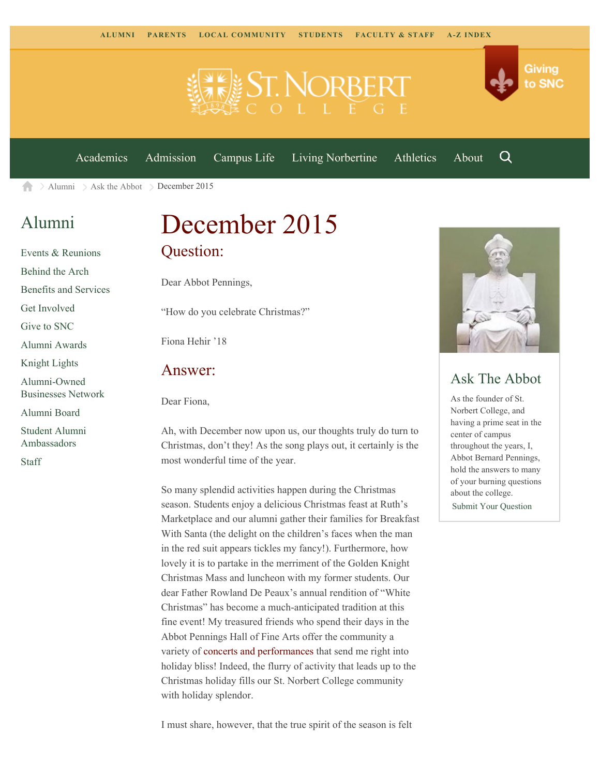



[Academics](https://www.snc.edu/academics) [Admission](https://www.snc.edu/admission) [Campus Life](https://www.snc.edu/campuslife) [Living Norbertine](https://www.snc.edu/livingnorbertine) [Athletics](https://www.snc.edu/athletics) [About](https://www.snc.edu/about)

Q

[Alumni](https://www.snc.edu/alumni/)  $\geq$  [Ask the Abbot](https://www.snc.edu/alumni/abbot/)  $\geq$  December 2015 合

### [Alumni](https://www.snc.edu/alumni/index.html)

[Events & Reunions](https://www.snc.edu/alumni/event/index.html) [Behind the Arch](https://www.snc.edu/alumni/event/behindthearch/) [Benefits and Services](https://www.snc.edu/alumni/benefits.html) [Get Involved](https://www.snc.edu/alumni/getinvolved.html) [Give to SNC](http://giving.snc.edu/) [Alumni Awards](https://www.snc.edu/alumni/awards/index.html) [Knight Lights](https://www.snc.edu/alumni/knightlights/index.html) [Alumni-Owned](https://www.snc.edu/alumni/directory/index.html) [Businesses Network](https://www.snc.edu/alumni/directory/index.html) [Alumni Board](https://www.snc.edu/alumni/alumniboard.html) [Student Alumni](https://www.snc.edu/alumni/saa.html) [Ambassadors](https://www.snc.edu/alumni/saa.html)

[Staff](https://www.snc.edu/alumni/contactus.html)

December 2015 Question:

Dear Abbot Pennings,

"How do you celebrate Christmas?"

Fiona Hehir '18

#### Answer:

Dear Fiona,

Ah, with December now upon us, our thoughts truly do turn to Christmas, don't they! As the song plays out, it certainly is the most wonderful time of the year.

So many splendid activities happen during the Christmas season. Students enjoy a delicious Christmas feast at Ruth's Marketplace and our alumni gather their families for Breakfast With Santa (the delight on the children's faces when the man in the red suit appears tickles my fancy!). Furthermore, how lovely it is to partake in the merriment of the Golden Knight Christmas Mass and luncheon with my former students. Our dear Father Rowland De Peaux's annual rendition of "White Christmas" has become a much-anticipated tradition at this fine event! My treasured friends who spend their days in the Abbot Pennings Hall of Fine Arts offer the community a variety of [concerts and performances](http://www.snc.edu/performingarts/) that send me right into holiday bliss! Indeed, the flurry of activity that leads up to the Christmas holiday fills our St. Norbert College community with holiday splendor.



#### Ask The Abbot

As the founder of St. Norbert College, and having a prime seat in the center of campus throughout the years, I, Abbot Bernard Pennings, hold the answers to many of your burning questions about the college. [Submit Your Question](https://www.snc.edu/alumni/abbot/index.html)

I must share, however, that the true spirit of the season is felt